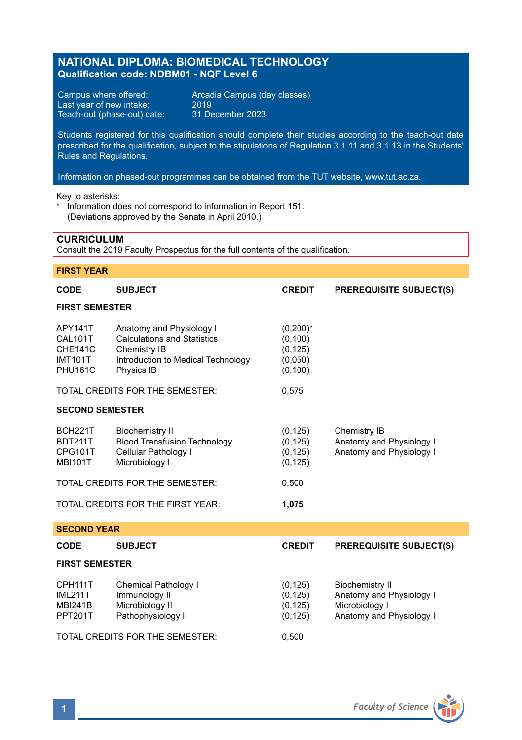# **NATIONAL DIPLOMA: BIOMEDICAL TECHNOLOGY Qualification code: NDBM01 - NQF Level 6**

Last year of new intake: 2019<br>Teach-out (phase-out) date: 31 December 2023 Teach-out (phase-out) date:

Campus where offered: <br>
Last year of new intake: 2019<br>
2019

Students registered for this qualification should complete their studies according to the teach-out date prescribed for the qualification, subject to the stipulations of Regulation 3.1.11 and 3.1.13 in the Students' Rules and Regulations.

Information on phased-out programmes can be obtained from the TUT website, www.tut.ac.za.

Key to asterisks:

\* Information does not correspond to information in Report 151. (Deviations approved by the Senate in April 2010.)

## **CURRICULUM**

Consult the 2019 Faculty Prospectus for the full contents of the qualification.

## **FIRST YEAR**

| <b>CODE</b>                                                                     | <b>SUBJECT</b>                                                                                                                     | <b>CREDIT</b>                                              | <b>PREREQUISITE SUBJECT(S)</b>                                                                   |  |  |
|---------------------------------------------------------------------------------|------------------------------------------------------------------------------------------------------------------------------------|------------------------------------------------------------|--------------------------------------------------------------------------------------------------|--|--|
| <b>FIRST SEMESTER</b>                                                           |                                                                                                                                    |                                                            |                                                                                                  |  |  |
| APY141T<br><b>CAL101T</b><br><b>CHE141C</b><br><b>IMT101T</b><br><b>PHU161C</b> | Anatomy and Physiology I<br><b>Calculations and Statistics</b><br>Chemistry IB<br>Introduction to Medical Technology<br>Physics IB | $(0,200)^*$<br>(0, 100)<br>(0, 125)<br>(0,050)<br>(0, 100) |                                                                                                  |  |  |
|                                                                                 | TOTAL CREDITS FOR THE SEMESTER:                                                                                                    | 0,575                                                      |                                                                                                  |  |  |
| <b>SECOND SEMESTER</b>                                                          |                                                                                                                                    |                                                            |                                                                                                  |  |  |
| <b>BCH221T</b><br><b>BDT211T</b><br>CPG101T<br><b>MBI101T</b>                   | <b>Biochemistry II</b><br><b>Blood Transfusion Technology</b><br>Cellular Pathology I<br>Microbiology I                            | (0, 125)<br>(0, 125)<br>(0, 125)<br>(0, 125)               | Chemistry IB<br>Anatomy and Physiology I<br>Anatomy and Physiology I                             |  |  |
| TOTAL CREDITS FOR THE SEMESTER:                                                 |                                                                                                                                    | 0,500                                                      |                                                                                                  |  |  |
| TOTAL CREDITS FOR THE FIRST YEAR:                                               |                                                                                                                                    | 1,075                                                      |                                                                                                  |  |  |
| <b>SECOND YEAR</b>                                                              |                                                                                                                                    |                                                            |                                                                                                  |  |  |
| <b>CODE</b>                                                                     | <b>SUBJECT</b>                                                                                                                     | <b>CREDIT</b>                                              | <b>PREREQUISITE SUBJECT(S)</b>                                                                   |  |  |
| <b>FIRST SEMESTER</b>                                                           |                                                                                                                                    |                                                            |                                                                                                  |  |  |
| CPH111T<br><b>IML211T</b><br><b>MBI241B</b><br><b>PPT201T</b>                   | <b>Chemical Pathology I</b><br>Immunology II<br>Microbiology II<br>Pathophysiology II                                              | (0, 125)<br>(0, 125)<br>(0, 125)<br>(0, 125)               | <b>Biochemistry II</b><br>Anatomy and Physiology I<br>Microbiology I<br>Anatomy and Physiology I |  |  |
|                                                                                 | TOTAL CREDITS FOR THE SEMESTER:                                                                                                    | 0,500                                                      |                                                                                                  |  |  |

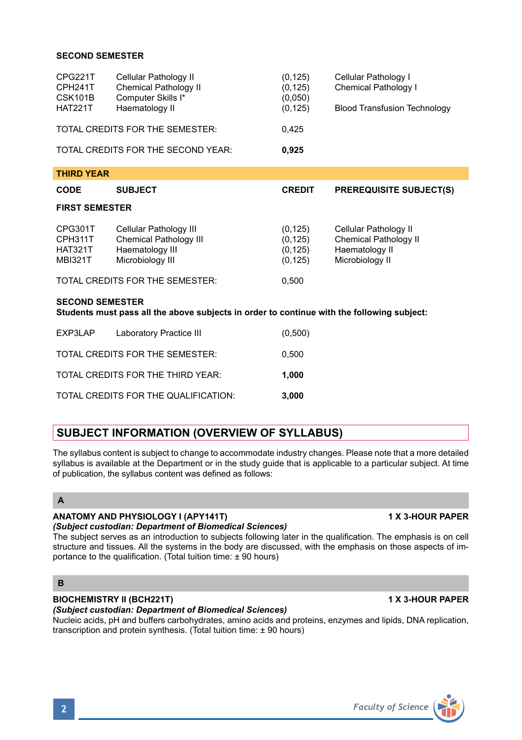## **SECOND SEMESTER**

| CPG221T<br>CPH241T<br>CSK101B<br><b>HAT221T</b>                                                                      | Cellular Pathology II<br>Chemical Pathology II<br>Computer Skills I*<br>Haematology II         | (0, 125)<br>(0, 125)<br>(0.050)<br>(0, 125)  | Cellular Pathology I<br>Chemical Pathology I<br><b>Blood Transfusion Technology</b> |  |  |
|----------------------------------------------------------------------------------------------------------------------|------------------------------------------------------------------------------------------------|----------------------------------------------|-------------------------------------------------------------------------------------|--|--|
|                                                                                                                      | TOTAL CREDITS FOR THE SEMESTER:                                                                | 0,425                                        |                                                                                     |  |  |
|                                                                                                                      | TOTAL CREDITS FOR THE SECOND YEAR:                                                             | 0,925                                        |                                                                                     |  |  |
| <b>THIRD YEAR</b>                                                                                                    |                                                                                                |                                              |                                                                                     |  |  |
| <b>CODE</b>                                                                                                          | <b>SUBJECT</b>                                                                                 | <b>CREDIT</b>                                | PREREQUISITE SUBJECT(S)                                                             |  |  |
| <b>FIRST SEMESTER</b>                                                                                                |                                                                                                |                                              |                                                                                     |  |  |
| CPG301T<br>CPH311T<br><b>HAT321T</b><br><b>MBI321T</b>                                                               | Cellular Pathology III<br><b>Chemical Pathology III</b><br>Haematology III<br>Microbiology III | (0, 125)<br>(0, 125)<br>(0, 125)<br>(0, 125) | Cellular Pathology II<br>Chemical Pathology II<br>Haematology II<br>Microbiology II |  |  |
|                                                                                                                      | TOTAL CREDITS FOR THE SEMESTER:                                                                | 0,500                                        |                                                                                     |  |  |
| <b>SECOND SEMESTER</b><br>Students must pass all the above subjects in order to continue with the following subject: |                                                                                                |                                              |                                                                                     |  |  |
| EXP3LAP                                                                                                              | Laboratory Practice III                                                                        | (0,500)                                      |                                                                                     |  |  |
| TOTAL CREDITS FOR THE SEMESTER:<br>0,500                                                                             |                                                                                                |                                              |                                                                                     |  |  |

TOTAL CREDITS FOR THE THIRD YEAR: **1,000** TOTAL CREDITS FOR THE QUALIFICATION: **3,000**

# **SUBJECT INFORMATION (OVERVIEW OF SYLLABUS)**

The syllabus content is subject to change to accommodate industry changes. Please note that a more detailed syllabus is available at the Department or in the study guide that is applicable to a particular subject. At time of publication, the syllabus content was defined as follows:

# **A**

## **ANATOMY AND PHYSIOLOGY I (APY141T) 1 X 3-HOUR PAPER**

### *(Subject custodian: Department of Biomedical Sciences)*

The subject serves as an introduction to subjects following later in the qualification. The emphasis is on cell structure and tissues. All the systems in the body are discussed, with the emphasis on those aspects of importance to the qualification. (Total tuition time:  $\pm$  90 hours)

# **B**

# **BIOCHEMISTRY II (BCH221T) 1 X 3-HOUR PAPER**

# *(Subject custodian: Department of Biomedical Sciences)*

Nucleic acids, pH and buffers carbohydrates, amino acids and proteins, enzymes and lipids, DNA replication, transcription and protein synthesis. (Total tuition time: ± 90 hours)

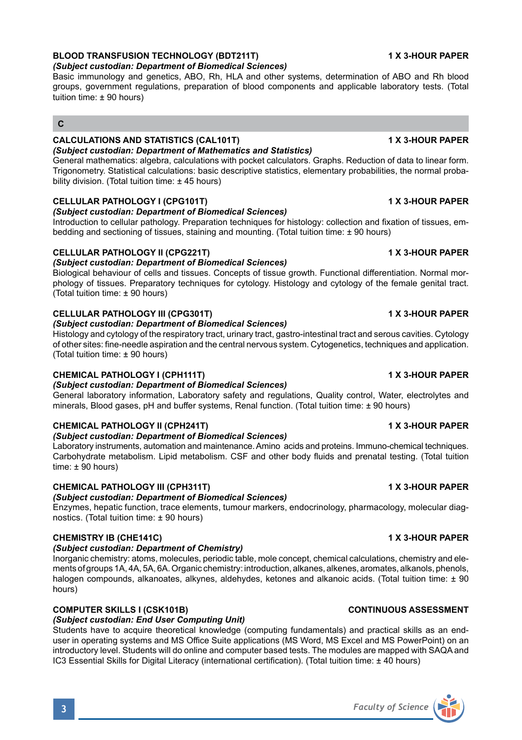# **BLOOD TRANSFUSION TECHNOLOGY (BDT211T) 1 X 3-HOUR PAPER**

*(Subject custodian: Department of Biomedical Sciences)*

Basic immunology and genetics, ABO, Rh, HLA and other systems, determination of ABO and Rh blood groups, government regulations, preparation of blood components and applicable laboratory tests. (Total tuition time: ± 90 hours)

# **C**

### **CALCULATIONS AND STATISTICS (CAL101T) 1 X 3-HOUR PAPER** *(Subject custodian: Department of Mathematics and Statistics)*

General mathematics: algebra, calculations with pocket calculators. Graphs. Reduction of data to linear form. Trigonometry. Statistical calculations: basic descriptive statistics, elementary probabilities, the normal probability division. (Total tuition time:  $\pm$  45 hours)

### **CELLULAR PATHOLOGY I (CPG101T) 1 X 3-HOUR PAPER**

### *(Subject custodian: Department of Biomedical Sciences)*

Introduction to cellular pathology. Preparation techniques for histology: collection and fixation of tissues, embedding and sectioning of tissues, staining and mounting. (Total tuition time: ± 90 hours)

## **CELLULAR PATHOLOGY II (CPG221T) 1 X 3-HOUR PAPER**

*(Subject custodian: Department of Biomedical Sciences)*

Biological behaviour of cells and tissues. Concepts of tissue growth. Functional differentiation. Normal morphology of tissues. Preparatory techniques for cytology. Histology and cytology of the female genital tract. (Total tuition time: ± 90 hours)

## **CELLULAR PATHOLOGY III (CPG301T) 1 X 3-HOUR PAPER**

### *(Subject custodian: Department of Biomedical Sciences)*

Histology and cytology of the respiratory tract, urinary tract, gastro-intestinal tract and serous cavities. Cytology of other sites: fine-needle aspiration and the central nervous system. Cytogenetics, techniques and application. (Total tuition time: ± 90 hours)

### **CHEMICAL PATHOLOGY I (CPH111T) 1 X 3-HOUR PAPER**

*(Subject custodian: Department of Biomedical Sciences)*

General laboratory information, Laboratory safety and regulations, Quality control, Water, electrolytes and minerals, Blood gases, pH and buffer systems, Renal function. (Total tuition time: ± 90 hours)

## **CHEMICAL PATHOLOGY II (CPH241T) 1 X 3-HOUR PAPER**

### *(Subject custodian: Department of Biomedical Sciences)*

Laboratory instruments, automation and maintenance. Amino acids and proteins. Immuno-chemical techniques. Carbohydrate metabolism. Lipid metabolism. CSF and other body fluids and prenatal testing. (Total tuition time:  $\pm$  90 hours)

## **CHEMICAL PATHOLOGY III (CPH311T) 1 X 3-HOUR PAPER**

## *(Subject custodian: Department of Biomedical Sciences)*

Enzymes, hepatic function, trace elements, tumour markers, endocrinology, pharmacology, molecular diagnostics. (Total tuition time: ± 90 hours)

## **CHEMISTRY IB (CHE141C) 1 X 3-HOUR PAPER**

### *(Subject custodian: Department of Chemistry)*

Inorganic chemistry: atoms, molecules, periodic table, mole concept, chemical calculations, chemistry and elements of groups 1A, 4A, 5A, 6A. Organic chemistry: introduction, alkanes, alkenes, aromates, alkanols, phenols, halogen compounds, alkanoates, alkynes, aldehydes, ketones and alkanoic acids. (Total tuition time: ± 90 hours)

### **COMPUTER SKILLS I (CSK101B) CONTINUOUS ASSESSMENT**

# *(Subject custodian: End User Computing Unit)*

Students have to acquire theoretical knowledge (computing fundamentals) and practical skills as an enduser in operating systems and MS Office Suite applications (MS Word, MS Excel and MS PowerPoint) on an introductory level. Students will do online and computer based tests. The modules are mapped with SAQA and IC3 Essential Skills for Digital Literacy (international certification). (Total tuition time: ± 40 hours)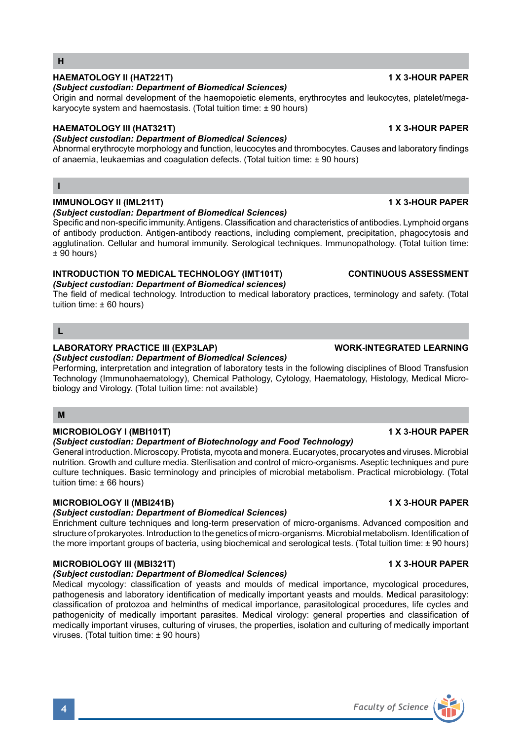# **HAEMATOLOGY II (HAT221T) 1 X 3-HOUR PAPER**

# *(Subject custodian: Department of Biomedical Sciences)*

Origin and normal development of the haemopoietic elements, erythrocytes and leukocytes, platelet/megakaryocyte system and haemostasis. (Total tuition time: ± 90 hours)

# **HAEMATOLOGY III (HAT321T) 1 X 3-HOUR PAPER**

# *(Subject custodian: Department of Biomedical Sciences)*

Abnormal erythrocyte morphology and function, leucocytes and thrombocytes. Causes and laboratory findings of anaemia, leukaemias and coagulation defects. (Total tuition time: ± 90 hours)

# **I**

**H**

# **IMMUNOLOGY II (IML211T) 1 X 3-HOUR PAPER**

## *(Subject custodian: Department of Biomedical Sciences)*

Specific and non-specific immunity. Antigens. Classification and characteristics of antibodies. Lymphoid organs of antibody production. Antigen-antibody reactions, including complement, precipitation, phagocytosis and agglutination. Cellular and humoral immunity. Serological techniques. Immunopathology. (Total tuition time:  $± 90$  hours)

# **INTRODUCTION TO MEDICAL TECHNOLOGY (IMT101T) CONTINUOUS ASSESSMENT**

## *(Subject custodian: Department of Biomedical sciences)*

The field of medical technology. Introduction to medical laboratory practices, terminology and safety. (Total tuition time: ± 60 hours)

# **L**

# **LABORATORY PRACTICE III (EXP3LAP) WORK-INTEGRATED LEARNING**

*(Subject custodian: Department of Biomedical Sciences)*

Performing, interpretation and integration of laboratory tests in the following disciplines of Blood Transfusion Technology (Immunohaematology), Chemical Pathology, Cytology, Haematology, Histology, Medical Microbiology and Virology. (Total tuition time: not available)

# **M**

# **MICROBIOLOGY I (MBI101T) 1 X 3-HOUR PAPER**

## *(Subject custodian: Department of Biotechnology and Food Technology)*

General introduction. Microscopy. Protista, mycota and monera. Eucaryotes, procaryotes and viruses. Microbial nutrition. Growth and culture media. Sterilisation and control of micro-organisms. Aseptic techniques and pure culture techniques. Basic terminology and principles of microbial metabolism. Practical microbiology. (Total tuition time: ± 66 hours)

## **MICROBIOLOGY II (MBI241B) 1 X 3-HOUR PAPER**

# *(Subject custodian: Department of Biomedical Sciences)*

Enrichment culture techniques and long-term preservation of micro-organisms. Advanced composition and structure of prokaryotes. Introduction to the genetics of micro-organisms. Microbial metabolism. Identification of the more important groups of bacteria, using biochemical and serological tests. (Total tuition time: ± 90 hours)

## **MICROBIOLOGY III (MBI321T) 1 X 3-HOUR PAPER**

## *(Subject custodian: Department of Biomedical Sciences)*

Medical mycology: classification of yeasts and moulds of medical importance, mycological procedures, pathogenesis and laboratory identification of medically important yeasts and moulds. Medical parasitology: classification of protozoa and helminths of medical importance, parasitological procedures, life cycles and pathogenicity of medically important parasites. Medical virology: general properties and classification of medically important viruses, culturing of viruses, the properties, isolation and culturing of medically important viruses. (Total tuition time: ± 90 hours)